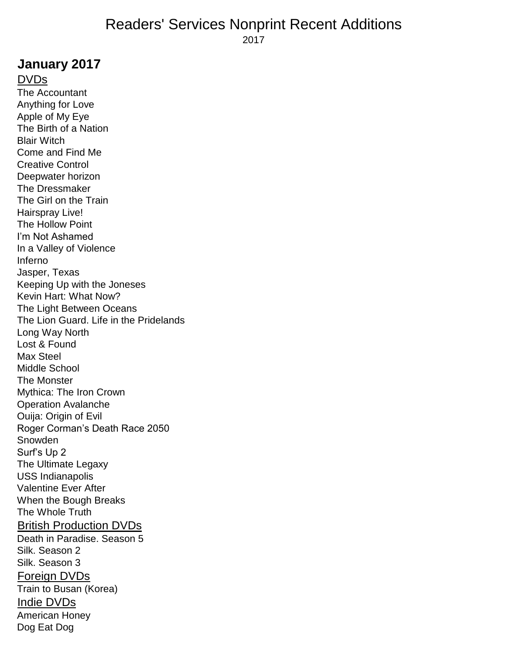# **January 2017**

DVDs The Accountant Anything for Love Apple of My Eye The Birth of a Nation Blair Witch Come and Find Me Creative Control Deepwater horizon The Dressmaker The Girl on the Train Hairspray Live! The Hollow Point I'm Not Ashamed In a Valley of Violence Inferno Jasper, Texas Keeping Up with the Joneses Kevin Hart: What Now? The Light Between Oceans The Lion Guard. Life in the Pridelands Long Way North Lost & Found Max Steel Middle School The Monster Mythica: The Iron Crown Operation Avalanche Ouija: Origin of Evil Roger Corman's Death Race 2050 Snowden Surf's Up 2 The Ultimate Legaxy USS Indianapolis Valentine Ever After When the Bough Breaks The Whole Truth British Production DVDs Death in Paradise. Season 5 Silk. Season 2 Silk. Season 3 Foreign DVDs Train to Busan (Korea) Indie DVDs American Honey Dog Eat Dog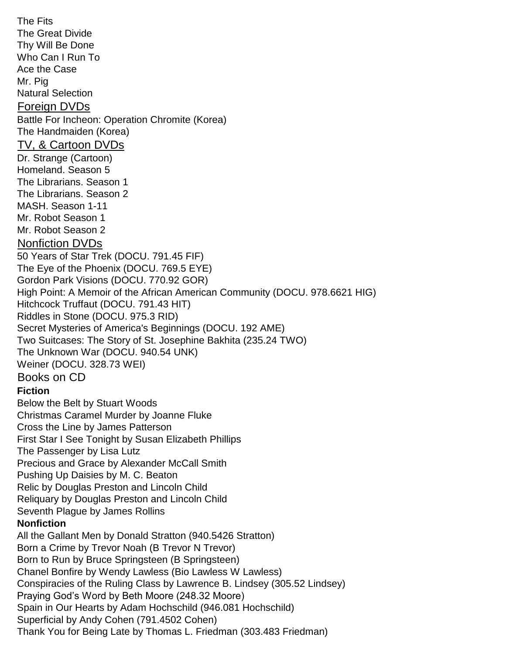The Fits The Great Divide Thy Will Be Done Who Can I Run To Ace the Case Mr. Pig Natural Selection Foreign DVDs Battle For Incheon: Operation Chromite (Korea) The Handmaiden (Korea) TV, & Cartoon DVDs Dr. Strange (Cartoon) Homeland. Season 5 The Librarians. Season 1 The Librarians. Season 2 MASH. Season 1-11 Mr. Robot Season 1 Mr. Robot Season 2 Nonfiction DVDs 50 Years of Star Trek (DOCU. 791.45 FIF) The Eye of the Phoenix (DOCU. 769.5 EYE) Gordon Park Visions (DOCU. 770.92 GOR) High Point: A Memoir of the African American Community (DOCU. 978.6621 HIG) Hitchcock Truffaut (DOCU. 791.43 HIT) Riddles in Stone (DOCU. 975.3 RID) Secret Mysteries of America's Beginnings (DOCU. 192 AME) Two Suitcases: The Story of St. Josephine Bakhita (235.24 TWO) The Unknown War (DOCU. 940.54 UNK) Weiner (DOCU. 328.73 WEI) Books on CD **Fiction** Below the Belt by Stuart Woods Christmas Caramel Murder by Joanne Fluke Cross the Line by James Patterson First Star I See Tonight by Susan Elizabeth Phillips The Passenger by Lisa Lutz Precious and Grace by Alexander McCall Smith Pushing Up Daisies by M. C. Beaton Relic by Douglas Preston and Lincoln Child Reliquary by Douglas Preston and Lincoln Child Seventh Plague by James Rollins **Nonfiction** All the Gallant Men by Donald Stratton (940.5426 Stratton) Born a Crime by Trevor Noah (B Trevor N Trevor) Born to Run by Bruce Springsteen (B Springsteen) Chanel Bonfire by Wendy Lawless (Bio Lawless W Lawless) Conspiracies of the Ruling Class by Lawrence B. Lindsey (305.52 Lindsey) Praying God's Word by Beth Moore (248.32 Moore) Spain in Our Hearts by Adam Hochschild (946.081 Hochschild) Superficial by Andy Cohen (791.4502 Cohen) Thank You for Being Late by Thomas L. Friedman (303.483 Friedman)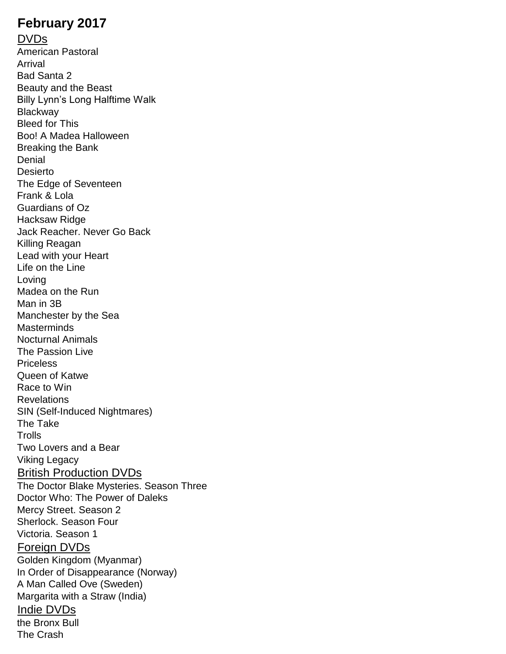# **February 2017**

DVDs American Pastoral Arrival Bad Santa 2 Beauty and the Beast Billy Lynn's Long Halftime Walk **Blackway** Bleed for This Boo! A Madea Halloween Breaking the Bank Denial Desierto The Edge of Seventeen Frank & Lola Guardians of Oz Hacksaw Ridge Jack Reacher. Never Go Back Killing Reagan Lead with your Heart Life on the Line Loving Madea on the Run Man in 3B Manchester by the Sea **Masterminds** Nocturnal Animals The Passion Live **Priceless** Queen of Katwe Race to Win Revelations SIN (Self-Induced Nightmares) The Take **Trolls** Two Lovers and a Bear Viking Legacy British Production DVDs The Doctor Blake Mysteries. Season Three Doctor Who: The Power of Daleks Mercy Street. Season 2 Sherlock. Season Four Victoria. Season 1 Foreign DVDs Golden Kingdom (Myanmar) In Order of Disappearance (Norway) A Man Called Ove (Sweden) Margarita with a Straw (India) Indie DVDs the Bronx Bull The Crash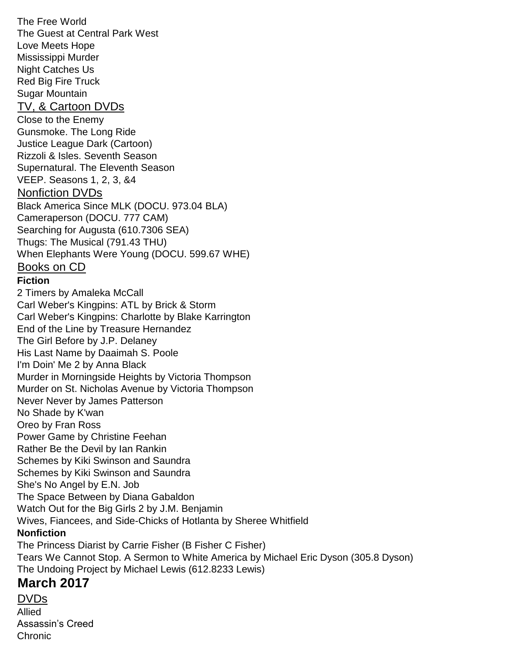The Free World The Guest at Central Park West Love Meets Hope Mississippi Murder Night Catches Us Red Big Fire Truck Sugar Mountain TV, & Cartoon DVDs Close to the Enemy Gunsmoke. The Long Ride Justice League Dark (Cartoon) Rizzoli & Isles. Seventh Season Supernatural. The Eleventh Season VEEP. Seasons 1, 2, 3, &4 Nonfiction DVDs Black America Since MLK (DOCU. 973.04 BLA) Cameraperson (DOCU. 777 CAM) Searching for Augusta (610.7306 SEA) Thugs: The Musical (791.43 THU) When Elephants Were Young (DOCU. 599.67 WHE) Books on CD **Fiction** 2 Timers by Amaleka McCall Carl Weber's Kingpins: ATL by Brick & Storm Carl Weber's Kingpins: Charlotte by Blake Karrington End of the Line by Treasure Hernandez The Girl Before by J.P. Delaney His Last Name by Daaimah S. Poole I'm Doin' Me 2 by Anna Black Murder in Morningside Heights by Victoria Thompson Murder on St. Nicholas Avenue by Victoria Thompson Never Never by James Patterson No Shade by K'wan Oreo by Fran Ross Power Game by Christine Feehan Rather Be the Devil by Ian Rankin Schemes by Kiki Swinson and Saundra Schemes by Kiki Swinson and Saundra She's No Angel by E.N. Job The Space Between by Diana Gabaldon Watch Out for the Big Girls 2 by J.M. Benjamin Wives, Fiancees, and Side-Chicks of Hotlanta by Sheree Whitfield **Nonfiction** The Princess Diarist by Carrie Fisher (B Fisher C Fisher) Tears We Cannot Stop. A Sermon to White America by Michael Eric Dyson (305.8 Dyson) The Undoing Project by Michael Lewis (612.8233 Lewis)

# **March 2017**

DVDs Allied Assassin's Creed Chronic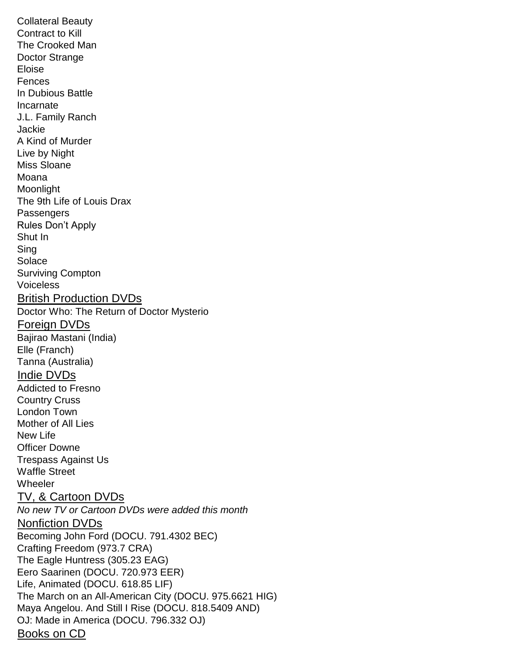Collateral Beauty Contract to Kill The Crooked Man Doctor Strange Eloise Fences In Dubious Battle Incarnate J.L. Family Ranch Jackie A Kind of Murder Live by Night Miss Sloane Moana **Moonlight** The 9th Life of Louis Drax **Passengers** Rules Don't Apply Shut In Sing Solace Surviving Compton Voiceless British Production DVDs Doctor Who: The Return of Doctor Mysterio Foreign DVDs Bajirao Mastani (India) Elle (Franch) Tanna (Australia) Indie DVDs Addicted to Fresno Country Cruss London Town Mother of All Lies New Life Officer Downe Trespass Against Us Waffle Street **Wheeler** TV, & Cartoon DVDs *No new TV or Cartoon DVDs were added this month* Nonfiction DVDs Becoming John Ford (DOCU. 791.4302 BEC) Crafting Freedom (973.7 CRA) The Eagle Huntress (305.23 EAG) Eero Saarinen (DOCU. 720.973 EER) Life, Animated (DOCU. 618.85 LIF) The March on an All-American City (DOCU. 975.6621 HIG) Maya Angelou. And Still I Rise (DOCU. 818.5409 AND) OJ: Made in America (DOCU. 796.332 OJ) Books on CD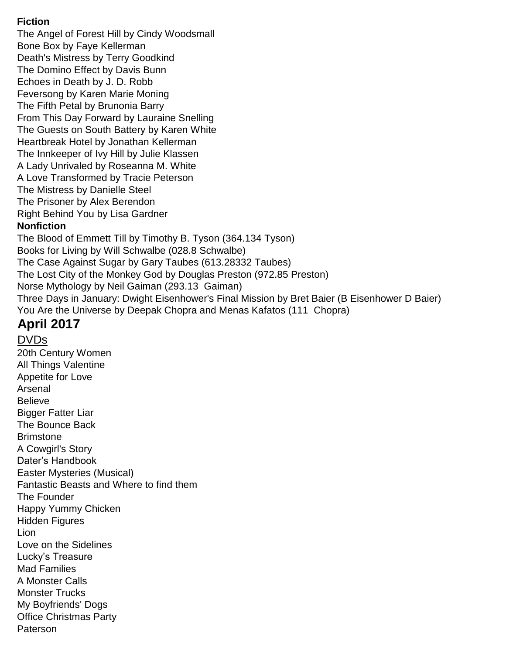#### **Fiction**

The Angel of Forest Hill by Cindy Woodsmall Bone Box by Faye Kellerman Death's Mistress by Terry Goodkind The Domino Effect by Davis Bunn Echoes in Death by J. D. Robb Feversong by Karen Marie Moning The Fifth Petal by Brunonia Barry From This Day Forward by Lauraine Snelling The Guests on South Battery by Karen White Heartbreak Hotel by Jonathan Kellerman The Innkeeper of Ivy Hill by Julie Klassen A Lady Unrivaled by Roseanna M. White A Love Transformed by Tracie Peterson The Mistress by Danielle Steel The Prisoner by Alex Berendon Right Behind You by Lisa Gardner **Nonfiction** The Blood of Emmett Till by Timothy B. Tyson (364.134 Tyson) Books for Living by Will Schwalbe (028.8 Schwalbe) The Case Against Sugar by Gary Taubes (613.28332 Taubes) The Lost City of the Monkey God by Douglas Preston (972.85 Preston) Norse Mythology by Neil Gaiman (293.13 Gaiman) Three Days in January: Dwight Eisenhower's Final Mission by Bret Baier (B Eisenhower D Baier) You Are the Universe by Deepak Chopra and Menas Kafatos (111 Chopra)

# **April 2017**

#### DVDs 20th Century Women All Things Valentine Appetite for Love Arsenal Believe Bigger Fatter Liar The Bounce Back **Brimstone** A Cowgirl's Story Dater's Handbook Easter Mysteries (Musical) Fantastic Beasts and Where to find them The Founder Happy Yummy Chicken Hidden Figures Lion Love on the Sidelines Lucky's Treasure Mad Families A Monster Calls Monster Trucks My Boyfriends' Dogs Office Christmas Party Paterson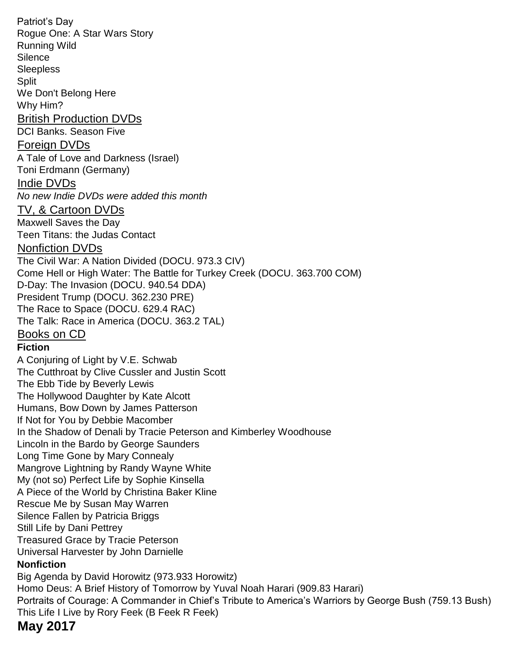Patriot's Day Rogue One: A Star Wars Story Running Wild **Silence Sleepless Split** We Don't Belong Here Why Him? British Production DVDs DCI Banks. Season Five Foreign DVDs A Tale of Love and Darkness (Israel) Toni Erdmann (Germany) Indie DVDs *No new Indie DVDs were added this month* TV, & Cartoon DVDs Maxwell Saves the Day Teen Titans: the Judas Contact Nonfiction DVDs The Civil War: A Nation Divided (DOCU. 973.3 CIV) Come Hell or High Water: The Battle for Turkey Creek (DOCU. 363.700 COM) D-Day: The Invasion (DOCU. 940.54 DDA) President Trump (DOCU. 362.230 PRE) The Race to Space (DOCU. 629.4 RAC) The Talk: Race in America (DOCU. 363.2 TAL) Books on CD **Fiction** A Conjuring of Light by V.E. Schwab The Cutthroat by Clive Cussler and Justin Scott The Ebb Tide by Beverly Lewis The Hollywood Daughter by Kate Alcott Humans, Bow Down by James Patterson If Not for You by Debbie Macomber In the Shadow of Denali by Tracie Peterson and Kimberley Woodhouse Lincoln in the Bardo by George Saunders Long Time Gone by Mary Connealy Mangrove Lightning by Randy Wayne White My (not so) Perfect Life by Sophie Kinsella A Piece of the World by Christina Baker Kline Rescue Me by Susan May Warren Silence Fallen by Patricia Briggs Still Life by Dani Pettrey Treasured Grace by Tracie Peterson Universal Harvester by John Darnielle **Nonfiction** Big Agenda by David Horowitz (973.933 Horowitz) Homo Deus: A Brief History of Tomorrow by Yuval Noah Harari (909.83 Harari) Portraits of Courage: A Commander in Chief's Tribute to America's Warriors by George Bush (759.13 Bush) This Life I Live by Rory Feek (B Feek R Feek)

## **May 2017**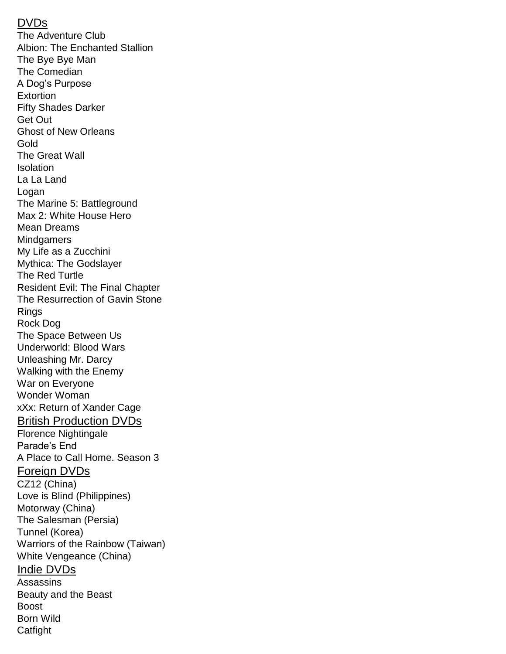#### DVDs

The Adventure Club Albion: The Enchanted Stallion The Bye Bye Man The Comedian A Dog's Purpose Extortion Fifty Shades Darker Get Out Ghost of New Orleans Gold The Great Wall Isolation La La Land Logan The Marine 5: Battleground Max 2: White House Hero Mean Dreams **Mindgamers** My Life as a Zucchini Mythica: The Godslayer The Red Turtle Resident Evil: The Final Chapter The Resurrection of Gavin Stone Rings Rock Dog The Space Between Us Underworld: Blood Wars Unleashing Mr. Darcy Walking with the Enemy War on Everyone Wonder Woman xXx: Return of Xander Cage British Production DVDs Florence Nightingale Parade's End A Place to Call Home. Season 3 Foreign DVDs CZ12 (China) Love is Blind (Philippines) Motorway (China) The Salesman (Persia) Tunnel (Korea) Warriors of the Rainbow (Taiwan) White Vengeance (China) Indie DVDs **Assassins** Beauty and the Beast Boost Born Wild **Catfight**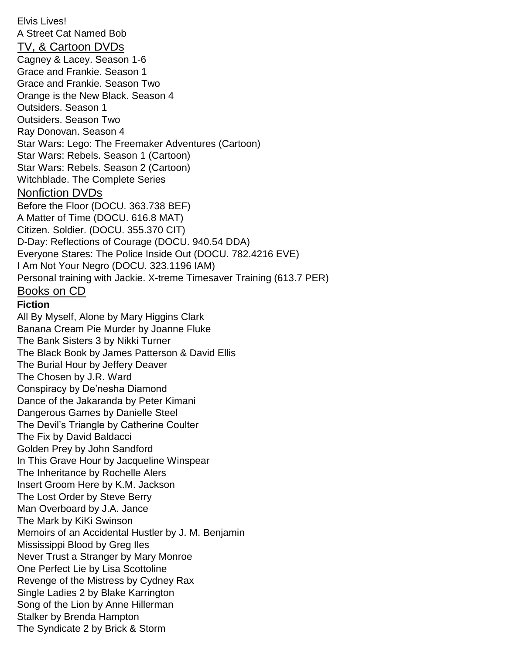Elvis Lives! A Street Cat Named Bob TV, & Cartoon DVDs Cagney & Lacey. Season 1-6 Grace and Frankie. Season 1 Grace and Frankie. Season Two Orange is the New Black. Season 4 Outsiders. Season 1 Outsiders. Season Two Ray Donovan. Season 4 Star Wars: Lego: The Freemaker Adventures (Cartoon) Star Wars: Rebels. Season 1 (Cartoon) Star Wars: Rebels. Season 2 (Cartoon) Witchblade. The Complete Series Nonfiction DVDs Before the Floor (DOCU. 363.738 BEF) A Matter of Time (DOCU. 616.8 MAT) Citizen. Soldier. (DOCU. 355.370 CIT) D-Day: Reflections of Courage (DOCU. 940.54 DDA) Everyone Stares: The Police Inside Out (DOCU. 782.4216 EVE) I Am Not Your Negro (DOCU. 323.1196 IAM) Personal training with Jackie. X-treme Timesaver Training (613.7 PER) Books on CD **Fiction** All By Myself, Alone by Mary Higgins Clark Banana Cream Pie Murder by Joanne Fluke The Bank Sisters 3 by Nikki Turner The Black Book by James Patterson & David Ellis The Burial Hour by Jeffery Deaver The Chosen by J.R. Ward Conspiracy by De'nesha Diamond Dance of the Jakaranda by Peter Kimani Dangerous Games by Danielle Steel The Devil's Triangle by Catherine Coulter The Fix by David Baldacci Golden Prey by John Sandford In This Grave Hour by Jacqueline Winspear The Inheritance by Rochelle Alers Insert Groom Here by K.M. Jackson The Lost Order by Steve Berry Man Overboard by J.A. Jance The Mark by KiKi Swinson Memoirs of an Accidental Hustler by J. M. Benjamin Mississippi Blood by Greg Iles Never Trust a Stranger by Mary Monroe One Perfect Lie by Lisa Scottoline Revenge of the Mistress by Cydney Rax Single Ladies 2 by Blake Karrington Song of the Lion by Anne Hillerman Stalker by Brenda Hampton The Syndicate 2 by Brick & Storm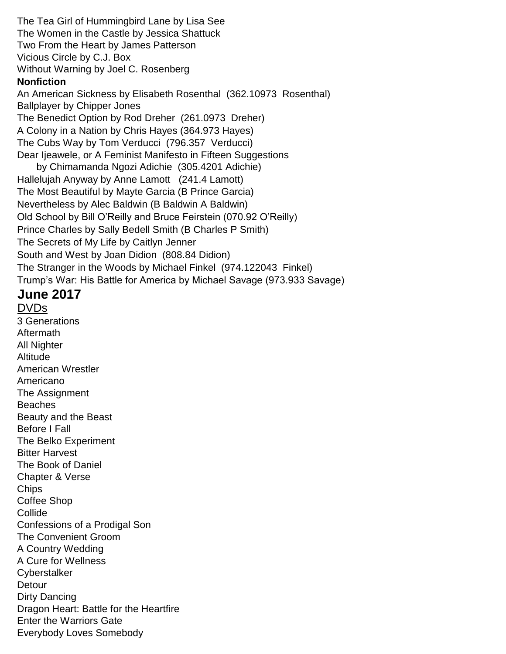The Tea Girl of Hummingbird Lane by Lisa See The Women in the Castle by Jessica Shattuck Two From the Heart by James Patterson Vicious Circle by C.J. Box Without Warning by Joel C. Rosenberg **Nonfiction** An American Sickness by Elisabeth Rosenthal (362.10973 Rosenthal) Ballplayer by Chipper Jones The Benedict Option by Rod Dreher (261.0973 Dreher) A Colony in a Nation by Chris Hayes (364.973 Hayes) The Cubs Way by Tom Verducci (796.357 Verducci) Dear Ijeawele, or A Feminist Manifesto in Fifteen Suggestions by Chimamanda Ngozi Adichie (305.4201 Adichie) Hallelujah Anyway by Anne Lamott (241.4 Lamott) The Most Beautiful by Mayte Garcia (B Prince Garcia) Nevertheless by Alec Baldwin (B Baldwin A Baldwin) Old School by Bill O'Reilly and Bruce Feirstein (070.92 O'Reilly) Prince Charles by Sally Bedell Smith (B Charles P Smith) The Secrets of My Life by Caitlyn Jenner South and West by Joan Didion (808.84 Didion) The Stranger in the Woods by Michael Finkel (974.122043 Finkel) Trump's War: His Battle for America by Michael Savage (973.933 Savage)

# **June 2017**

DVDs 3 Generations Aftermath All Nighter **Altitude** American Wrestler Americano The Assignment **Beaches** Beauty and the Beast Before I Fall The Belko Experiment Bitter Harvest The Book of Daniel Chapter & Verse **Chips** Coffee Shop **Collide** Confessions of a Prodigal Son The Convenient Groom A Country Wedding A Cure for Wellness **Cyberstalker Detour** Dirty Dancing Dragon Heart: Battle for the Heartfire Enter the Warriors Gate Everybody Loves Somebody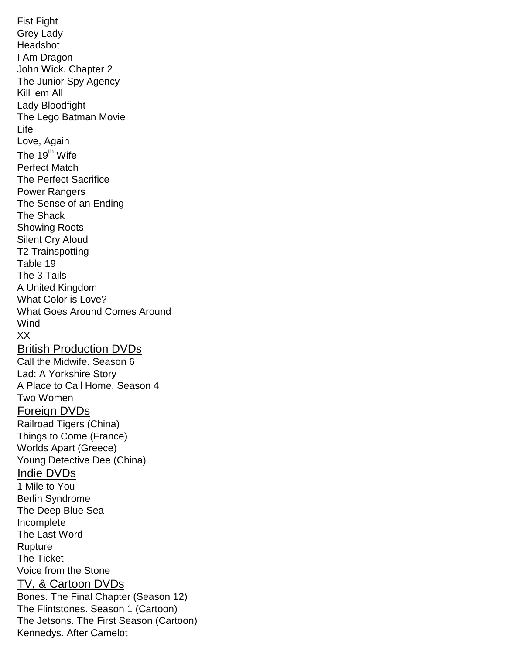Fist Fight Grey Lady Headshot I Am Dragon John Wick. Chapter 2 The Junior Spy Agency Kill 'em All Lady Bloodfight The Lego Batman Movie Life Love, Again The  $19^{th}$  Wife Perfect Match The Perfect Sacrifice Power Rangers The Sense of an Ending The Shack Showing Roots Silent Cry Aloud T2 Trainspotting Table 19 The 3 Tails A United Kingdom What Color is Love? What Goes Around Comes Around **Wind** XX British Production DVDs Call the Midwife. Season 6 Lad: A Yorkshire Story A Place to Call Home. Season 4 Two Women Foreign DVDs Railroad Tigers (China) Things to Come (France) Worlds Apart (Greece) Young Detective Dee (China) Indie DVDs 1 Mile to You Berlin Syndrome The Deep Blue Sea Incomplete The Last Word **Rupture** The Ticket Voice from the Stone TV, & Cartoon DVDs Bones. The Final Chapter (Season 12) The Flintstones. Season 1 (Cartoon) The Jetsons. The First Season (Cartoon) Kennedys. After Camelot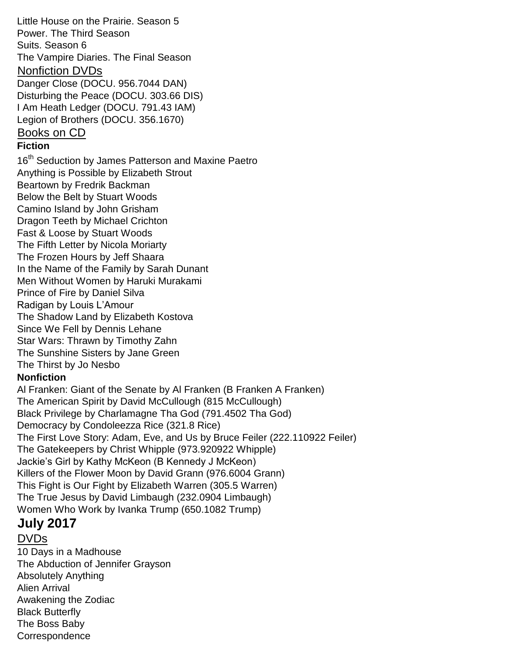Little House on the Prairie. Season 5 Power. The Third Season Suits. Season 6 The Vampire Diaries. The Final Season Nonfiction DVDs Danger Close (DOCU. 956.7044 DAN) Disturbing the Peace (DOCU. 303.66 DIS) I Am Heath Ledger (DOCU. 791.43 IAM) Legion of Brothers (DOCU. 356.1670) Books on CD **Fiction** 16<sup>th</sup> Seduction by James Patterson and Maxine Paetro Anything is Possible by Elizabeth Strout Beartown by Fredrik Backman Below the Belt by Stuart Woods Camino Island by John Grisham Dragon Teeth by Michael Crichton Fast & Loose by Stuart Woods The Fifth Letter by Nicola Moriarty The Frozen Hours by Jeff Shaara In the Name of the Family by Sarah Dunant Men Without Women by Haruki Murakami Prince of Fire by Daniel Silva Radigan by Louis L'Amour The Shadow Land by Elizabeth Kostova Since We Fell by Dennis Lehane Star Wars: Thrawn by Timothy Zahn The Sunshine Sisters by Jane Green The Thirst by Jo Nesbo **Nonfiction** Al Franken: Giant of the Senate by Al Franken (B Franken A Franken) The American Spirit by David McCullough (815 McCullough) Black Privilege by Charlamagne Tha God (791.4502 Tha God) Democracy by Condoleezza Rice (321.8 Rice) The First Love Story: Adam, Eve, and Us by Bruce Feiler (222.110922 Feiler) The Gatekeepers by Christ Whipple (973.920922 Whipple) Jackie's Girl by Kathy McKeon (B Kennedy J McKeon) Killers of the Flower Moon by David Grann (976.6004 Grann) This Fight is Our Fight by Elizabeth Warren (305.5 Warren) The True Jesus by David Limbaugh (232.0904 Limbaugh) Women Who Work by Ivanka Trump (650.1082 Trump) **July 2017**

### DVDs

10 Days in a Madhouse The Abduction of Jennifer Grayson Absolutely Anything Alien Arrival Awakening the Zodiac Black Butterfly The Boss Baby **Correspondence**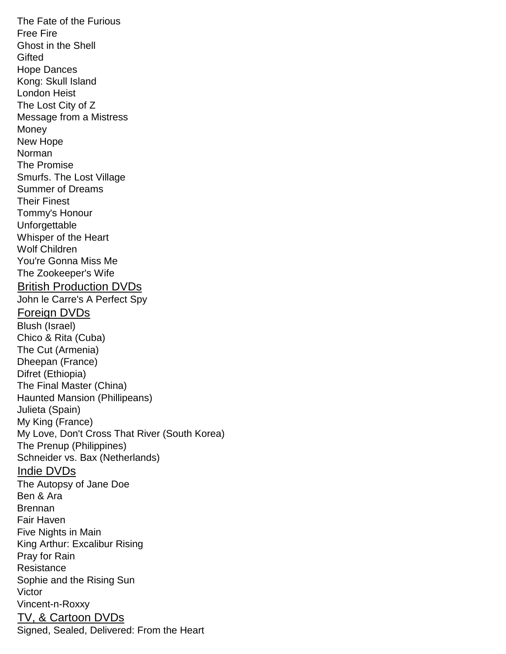The Fate of the Furious Free Fire Ghost in the Shell **Gifted** Hope Dances Kong: Skull Island London Heist The Lost City of Z Message from a Mistress **Money** New Hope Norman The Promise Smurfs. The Lost Village Summer of Dreams Their Finest Tommy's Honour Unforgettable Whisper of the Heart Wolf Children You're Gonna Miss Me The Zookeeper's Wife British Production DVDs John le Carre's A Perfect Spy Foreign DVDs Blush (Israel) Chico & Rita (Cuba) The Cut (Armenia) Dheepan (France) Difret (Ethiopia) The Final Master (China) Haunted Mansion (Phillipeans) Julieta (Spain) My King (France) My Love, Don't Cross That River (South Korea) The Prenup (Philippines) Schneider vs. Bax (Netherlands) Indie DVDs The Autopsy of Jane Doe Ben & Ara Brennan Fair Haven Five Nights in Main King Arthur: Excalibur Rising Pray for Rain **Resistance** Sophie and the Rising Sun Victor Vincent-n-Roxxy TV, & Cartoon DVDs Signed, Sealed, Delivered: From the Heart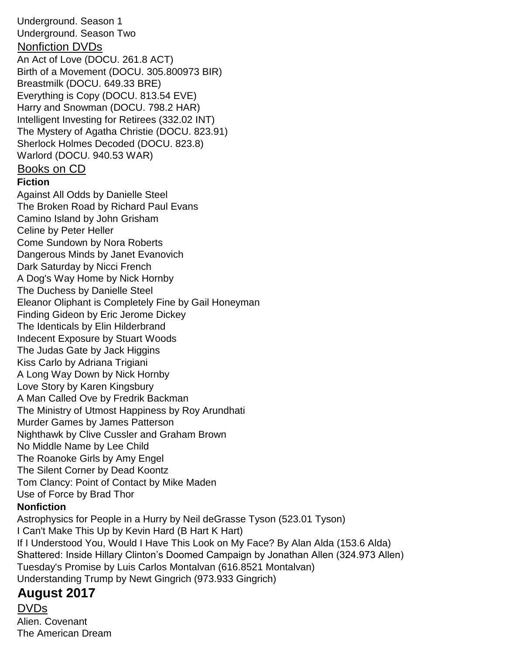Underground. Season 1 Underground. Season Two Nonfiction DVDs An Act of Love (DOCU. 261.8 ACT) Birth of a Movement (DOCU. 305.800973 BIR) Breastmilk (DOCU. 649.33 BRE) Everything is Copy (DOCU. 813.54 EVE) Harry and Snowman (DOCU. 798.2 HAR) Intelligent Investing for Retirees (332.02 INT) The Mystery of Agatha Christie (DOCU. 823.91) Sherlock Holmes Decoded (DOCU. 823.8) Warlord (DOCU. 940.53 WAR) Books on CD

**Fiction**

Against All Odds by Danielle Steel The Broken Road by Richard Paul Evans Camino Island by John Grisham Celine by Peter Heller Come Sundown by Nora Roberts Dangerous Minds by Janet Evanovich Dark Saturday by Nicci French A Dog's Way Home by Nick Hornby The Duchess by Danielle Steel Eleanor Oliphant is Completely Fine by Gail Honeyman Finding Gideon by Eric Jerome Dickey The Identicals by Elin Hilderbrand Indecent Exposure by Stuart Woods The Judas Gate by Jack Higgins Kiss Carlo by Adriana Trigiani A Long Way Down by Nick Hornby Love Story by Karen Kingsbury A Man Called Ove by Fredrik Backman The Ministry of Utmost Happiness by Roy Arundhati Murder Games by James Patterson Nighthawk by Clive Cussler and Graham Brown No Middle Name by Lee Child The Roanoke Girls by Amy Engel The Silent Corner by Dead Koontz Tom Clancy: Point of Contact by Mike Maden Use of Force by Brad Thor **Nonfiction**

Astrophysics for People in a Hurry by Neil deGrasse Tyson (523.01 Tyson) I Can't Make This Up by Kevin Hard (B Hart K Hart) If I Understood You, Would I Have This Look on My Face? By Alan Alda (153.6 Alda) Shattered: Inside Hillary Clinton's Doomed Campaign by Jonathan Allen (324.973 Allen) Tuesday's Promise by Luis Carlos Montalvan (616.8521 Montalvan) Understanding Trump by Newt Gingrich (973.933 Gingrich)

# **August 2017**

DVDs Alien. Covenant The American Dream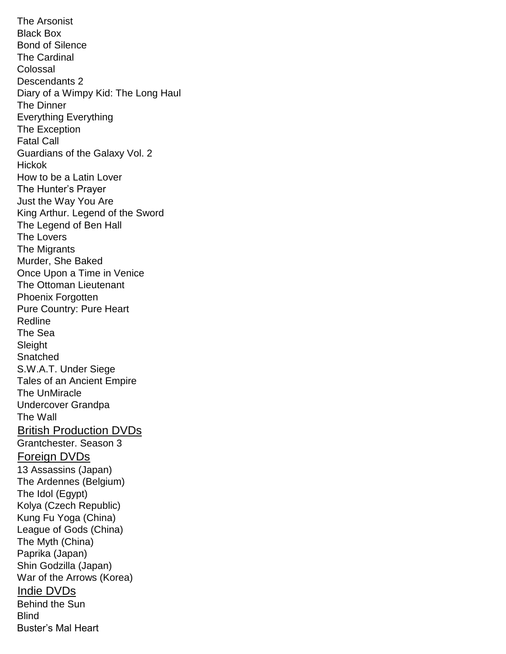The Arsonist Black Box Bond of Silence The Cardinal Colossal Descendants 2 Diary of a Wimpy Kid: The Long Haul The Dinner Everything Everything The Exception Fatal Call Guardians of the Galaxy Vol. 2 **Hickok** How to be a Latin Lover The Hunter's Prayer Just the Way You Are King Arthur. Legend of the Sword The Legend of Ben Hall The Lovers The Migrants Murder, She Baked Once Upon a Time in Venice The Ottoman Lieutenant Phoenix Forgotten Pure Country: Pure Heart Redline The Sea **Sleight Snatched** S.W.A.T. Under Siege Tales of an Ancient Empire The UnMiracle Undercover Grandpa The Wall British Production DVDs Grantchester. Season 3 Foreign DVDs 13 Assassins (Japan) The Ardennes (Belgium) The Idol (Egypt) Kolya (Czech Republic) Kung Fu Yoga (China) League of Gods (China) The Myth (China) Paprika (Japan) Shin Godzilla (Japan) War of the Arrows (Korea) Indie DVDs Behind the Sun **Blind** Buster's Mal Heart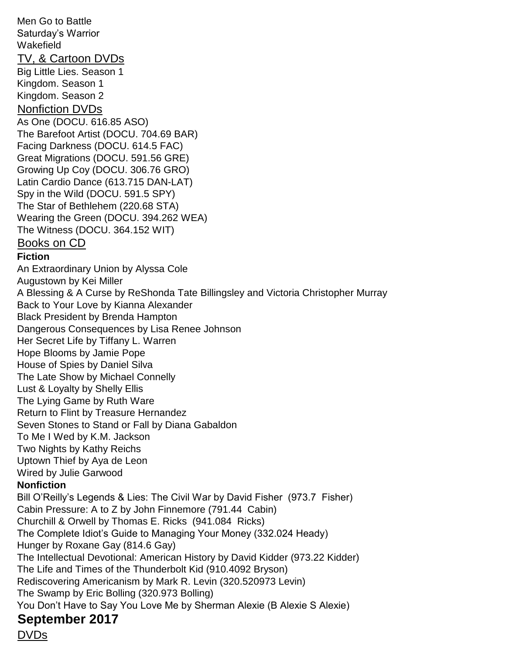Men Go to Battle Saturday's Warrior Wakefield TV, & Cartoon DVDs Big Little Lies. Season 1 Kingdom. Season 1 Kingdom. Season 2 Nonfiction DVDs As One (DOCU. 616.85 ASO) The Barefoot Artist (DOCU. 704.69 BAR) Facing Darkness (DOCU. 614.5 FAC) Great Migrations (DOCU. 591.56 GRE) Growing Up Coy (DOCU. 306.76 GRO) Latin Cardio Dance (613.715 DAN-LAT) Spy in the Wild (DOCU. 591.5 SPY) The Star of Bethlehem (220.68 STA) Wearing the Green (DOCU. 394.262 WEA) The Witness (DOCU. 364.152 WIT) Books on CD **Fiction** An Extraordinary Union by Alyssa Cole Augustown by Kei Miller A Blessing & A Curse by ReShonda Tate Billingsley and Victoria Christopher Murray Back to Your Love by Kianna Alexander Black President by Brenda Hampton Dangerous Consequences by Lisa Renee Johnson Her Secret Life by Tiffany L. Warren Hope Blooms by Jamie Pope House of Spies by Daniel Silva The Late Show by Michael Connelly Lust & Loyalty by Shelly Ellis The Lying Game by Ruth Ware Return to Flint by Treasure Hernandez Seven Stones to Stand or Fall by Diana Gabaldon To Me I Wed by K.M. Jackson Two Nights by Kathy Reichs Uptown Thief by Aya de Leon Wired by Julie Garwood **Nonfiction** Bill O'Reilly's Legends & Lies: The Civil War by David Fisher (973.7 Fisher) Cabin Pressure: A to Z by John Finnemore (791.44 Cabin) Churchill & Orwell by Thomas E. Ricks (941.084 Ricks) The Complete Idiot's Guide to Managing Your Money (332.024 Heady) Hunger by Roxane Gay (814.6 Gay) The Intellectual Devotional: American History by David Kidder (973.22 Kidder) The Life and Times of the Thunderbolt Kid (910.4092 Bryson) Rediscovering Americanism by Mark R. Levin (320.520973 Levin) The Swamp by Eric Bolling (320.973 Bolling) You Don't Have to Say You Love Me by Sherman Alexie (B Alexie S Alexie) **September 2017**

DVDs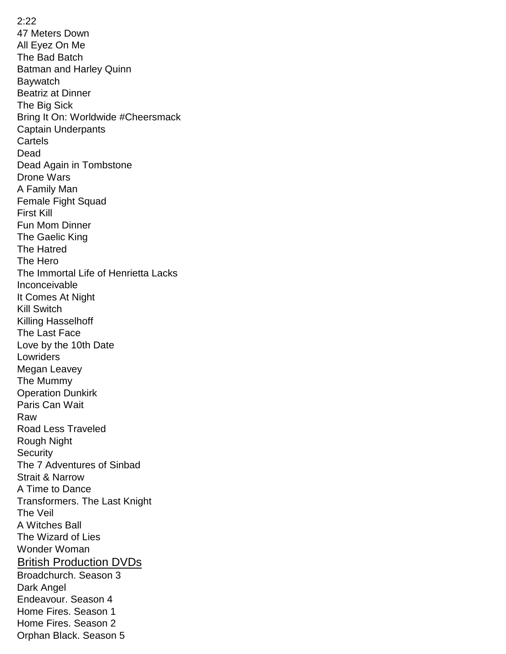2:22 47 Meters Down All Eyez On Me The Bad Batch Batman and Harley Quinn Baywatch Beatriz at Dinner The Big Sick Bring It On: Worldwide #Cheersmack Captain Underpants **Cartels** Dead Dead Again in Tombstone Drone Wars A Family Man Female Fight Squad First Kill Fun Mom Dinner The Gaelic King The Hatred The Hero The Immortal Life of Henrietta Lacks Inconceivable It Comes At Night Kill Switch Killing Hasselhoff The Last Face Love by the 10th Date Lowriders Megan Leavey The Mummy Operation Dunkirk Paris Can Wait Raw Road Less Traveled Rough Night **Security** The 7 Adventures of Sinbad Strait & Narrow A Time to Dance Transformers. The Last Knight The Veil A Witches Ball The Wizard of Lies Wonder Woman British Production DVDs Broadchurch. Season 3 Dark Angel Endeavour. Season 4 Home Fires. Season 1 Home Fires. Season 2 Orphan Black. Season 5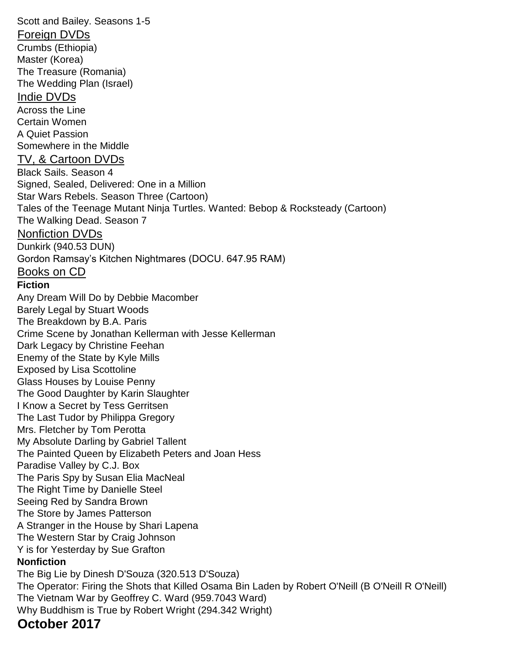Scott and Bailey. Seasons 1-5 Foreign DVDs Crumbs (Ethiopia) Master (Korea) The Treasure (Romania) The Wedding Plan (Israel) Indie DVDs Across the Line Certain Women A Quiet Passion Somewhere in the Middle TV, & Cartoon DVDs Black Sails. Season 4 Signed, Sealed, Delivered: One in a Million Star Wars Rebels. Season Three (Cartoon) Tales of the Teenage Mutant Ninja Turtles. Wanted: Bebop & Rocksteady (Cartoon) The Walking Dead. Season 7 Nonfiction DVDs Dunkirk (940.53 DUN) Gordon Ramsay's Kitchen Nightmares (DOCU. 647.95 RAM) Books on CD **Fiction** Any Dream Will Do by Debbie Macomber Barely Legal by Stuart Woods The Breakdown by B.A. Paris Crime Scene by Jonathan Kellerman with Jesse Kellerman Dark Legacy by Christine Feehan Enemy of the State by Kyle Mills Exposed by Lisa Scottoline Glass Houses by Louise Penny The Good Daughter by Karin Slaughter I Know a Secret by Tess Gerritsen The Last Tudor by Philippa Gregory Mrs. Fletcher by Tom Perotta My Absolute Darling by Gabriel Tallent The Painted Queen by Elizabeth Peters and Joan Hess Paradise Valley by C.J. Box The Paris Spy by Susan Elia MacNeal The Right Time by Danielle Steel Seeing Red by Sandra Brown The Store by James Patterson A Stranger in the House by Shari Lapena The Western Star by Craig Johnson Y is for Yesterday by Sue Grafton **Nonfiction** The Big Lie by Dinesh D'Souza (320.513 D'Souza) The Operator: Firing the Shots that Killed Osama Bin Laden by Robert O'Neill (B O'Neill R O'Neill) The Vietnam War by Geoffrey C. Ward (959.7043 Ward) Why Buddhism is True by Robert Wright (294.342 Wright)

### **October 2017**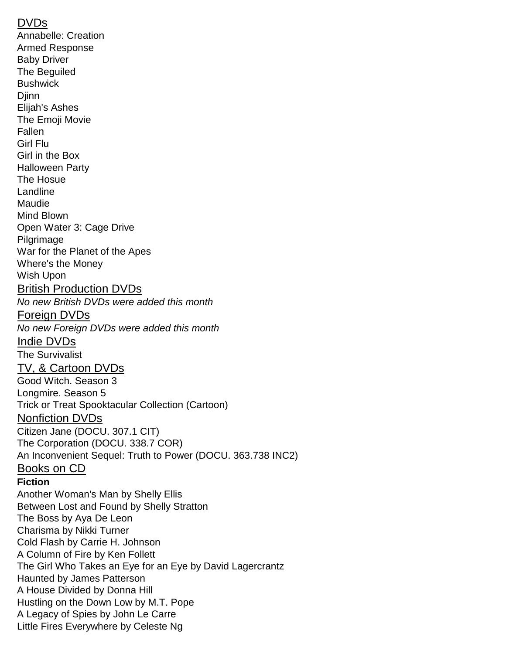#### DVDs

Annabelle: Creation Armed Response Baby Driver The Beguiled **Bushwick Diinn** Elijah's Ashes The Emoji Movie Fallen Girl Flu Girl in the Box Halloween Party The Hosue Landline Maudie Mind Blown Open Water 3: Cage Drive Pilgrimage War for the Planet of the Apes Where's the Money Wish Upon British Production DVDs *No new British DVDs were added this month* Foreign DVDs *No new Foreign DVDs were added this month* Indie DVDs The Survivalist TV, & Cartoon DVDs Good Witch. Season 3 Longmire. Season 5 Trick or Treat Spooktacular Collection (Cartoon) Nonfiction DVDs Citizen Jane (DOCU. 307.1 CIT) The Corporation (DOCU. 338.7 COR) An Inconvenient Sequel: Truth to Power (DOCU. 363.738 INC2) Books on CD **Fiction** Another Woman's Man by Shelly Ellis Between Lost and Found by Shelly Stratton The Boss by Aya De Leon Charisma by Nikki Turner Cold Flash by Carrie H. Johnson A Column of Fire by Ken Follett The Girl Who Takes an Eye for an Eye by David Lagercrantz Haunted by James Patterson A House Divided by Donna Hill Hustling on the Down Low by M.T. Pope A Legacy of Spies by John Le Carre Little Fires Everywhere by Celeste Ng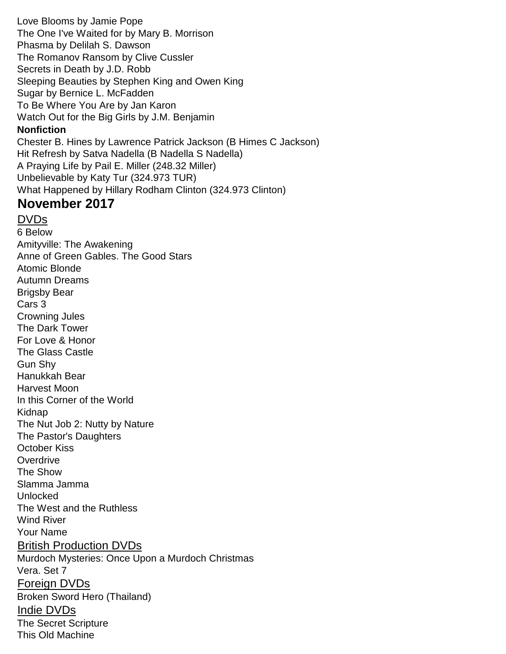Love Blooms by Jamie Pope The One I've Waited for by Mary B. Morrison Phasma by Delilah S. Dawson The Romanov Ransom by Clive Cussler Secrets in Death by J.D. Robb Sleeping Beauties by Stephen King and Owen King Sugar by Bernice L. McFadden To Be Where You Are by Jan Karon Watch Out for the Big Girls by J.M. Benjamin **Nonfiction** Chester B. Hines by Lawrence Patrick Jackson (B Himes C Jackson) Hit Refresh by Satva Nadella (B Nadella S Nadella) A Praying Life by Pail E. Miller (248.32 Miller) Unbelievable by Katy Tur (324.973 TUR) What Happened by Hillary Rodham Clinton (324.973 Clinton)

# **November 2017**

#### DVDs

6 Below Amityville: The Awakening Anne of Green Gables. The Good Stars Atomic Blonde Autumn Dreams Brigsby Bear Cars 3 Crowning Jules The Dark Tower For Love & Honor The Glass Castle Gun Shy Hanukkah Bear Harvest Moon In this Corner of the World Kidnap The Nut Job 2: Nutty by Nature The Pastor's Daughters October Kiss **Overdrive** The Show Slamma Jamma Unlocked The West and the Ruthless Wind River Your Name British Production DVDs Murdoch Mysteries: Once Upon a Murdoch Christmas Vera. Set 7 Foreign DVDs Broken Sword Hero (Thailand) Indie DVDs The Secret Scripture This Old Machine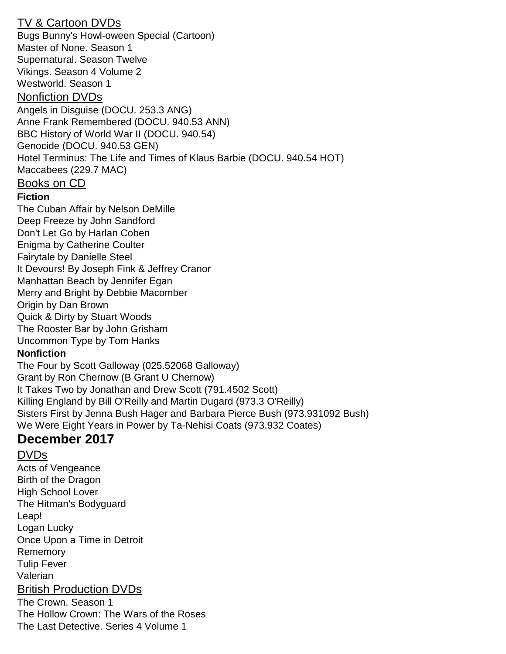## TV & Cartoon DVDs

Bugs Bunny's Howl-oween Special (Cartoon) Master of None. Season 1 Supernatural. Season Twelve Vikings. Season 4 Volume 2 Westworld. Season 1 Nonfiction DVDs Angels in Disguise (DOCU. 253.3 ANG) Anne Frank Remembered (DOCU. 940.53 ANN) BBC History of World War II (DOCU. 940.54) Genocide (DOCU. 940.53 GEN) Hotel Terminus: The Life and Times of Klaus Barbie (DOCU. 940.54 HOT) Maccabees (229.7 MAC) Books on CD **Fiction** The Cuban Affair by Nelson DeMille

Deep Freeze by John Sandford Don't Let Go by Harlan Coben Enigma by Catherine Coulter Fairytale by Danielle Steel It Devours! By Joseph Fink & Jeffrey Cranor Manhattan Beach by Jennifer Egan Merry and Bright by Debbie Macomber Origin by Dan Brown Quick & Dirty by Stuart Woods The Rooster Bar by John Grisham Uncommon Type by Tom Hanks

#### **Nonfiction**

The Four by Scott Galloway (025.52068 Galloway) Grant by Ron Chernow (B Grant U Chernow) It Takes Two by Jonathan and Drew Scott (791.4502 Scott) Killing England by Bill O'Reilly and Martin Dugard (973.3 O'Reilly) Sisters First by Jenna Bush Hager and Barbara Pierce Bush (973.931092 Bush) We Were Eight Years in Power by Ta-Nehisi Coats (973.932 Coates)

# **December 2017**

## DVDs

Acts of Vengeance Birth of the Dragon High School Lover The Hitman's Bodyguard Leap! Logan Lucky Once Upon a Time in Detroit Rememory Tulip Fever Valerian British Production DVDs The Crown. Season 1 The Hollow Crown: The Wars of the Roses The Last Detective. Series 4 Volume 1